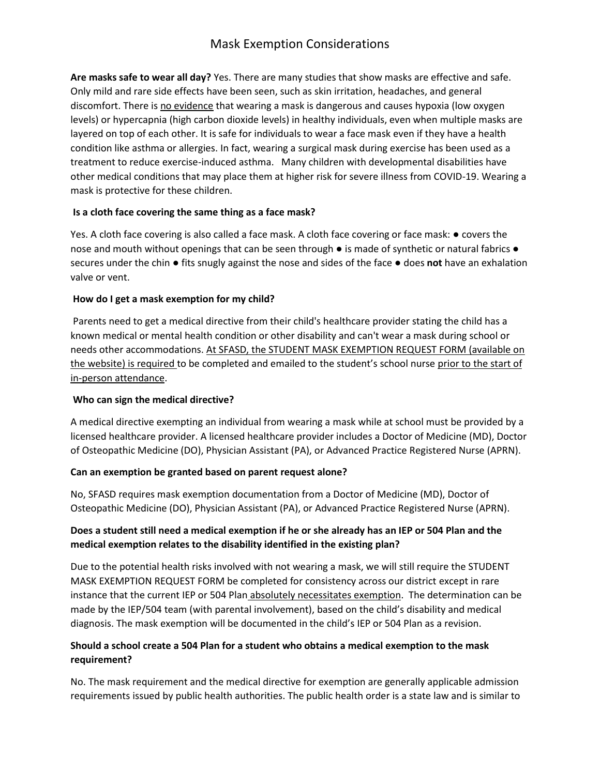# Mask Exemption Considerations

**Are masks safe to wear all day?** Yes. There are many studies that show masks are effective and safe. Only mild and rare side effects have been seen, such as skin irritation, headaches, and general discomfort. There is no evidence that wearing a mask is dangerous and causes hypoxia (low oxygen levels) or hypercapnia (high carbon dioxide levels) in healthy individuals, even when multiple masks are layered on top of each other. It is safe for individuals to wear a face mask even if they have a health condition like asthma or allergies. In fact, wearing a surgical mask during exercise has been used as a treatment to reduce exercise-induced asthma. Many children with developmental disabilities have other medical conditions that may place them at higher risk for severe illness from COVID-19. Wearing a mask is protective for these children.

### **Is a cloth face covering the same thing as a face mask?**

Yes. A cloth face covering is also called a face mask. A cloth face covering or face mask: ● covers the nose and mouth without openings that can be seen through  $\bullet$  is made of synthetic or natural fabrics  $\bullet$ secures under the chin ● fits snugly against the nose and sides of the face ● does **not** have an exhalation valve or vent.

### **How do I get a mask exemption for my child?**

Parents need to get a medical directive from their child's healthcare provider stating the child has a known medical or mental health condition or other disability and can't wear a mask during school or needs other accommodations. At SFASD, the STUDENT MASK EXEMPTION REQUEST FORM (available on the website) is required to be completed and emailed to the student's school nurse prior to the start of in-person attendance.

### **Who can sign the medical directive?**

A medical directive exempting an individual from wearing a mask while at school must be provided by a licensed healthcare provider. A licensed healthcare provider includes a Doctor of Medicine (MD), Doctor of Osteopathic Medicine (DO), Physician Assistant (PA), or Advanced Practice Registered Nurse (APRN).

### **Can an exemption be granted based on parent request alone?**

No, SFASD requires mask exemption documentation from a Doctor of Medicine (MD), Doctor of Osteopathic Medicine (DO), Physician Assistant (PA), or Advanced Practice Registered Nurse (APRN).

## **Does a student still need a medical exemption if he or she already has an IEP or 504 Plan and the medical exemption relates to the disability identified in the existing plan?**

Due to the potential health risks involved with not wearing a mask, we will still require the STUDENT MASK EXEMPTION REQUEST FORM be completed for consistency across our district except in rare instance that the current IEP or 504 Plan absolutely necessitates exemption. The determination can be made by the IEP/504 team (with parental involvement), based on the child's disability and medical diagnosis. The mask exemption will be documented in the child's IEP or 504 Plan as a revision.

### **Should a school create a 504 Plan for a student who obtains a medical exemption to the mask requirement?**

No. The mask requirement and the medical directive for exemption are generally applicable admission requirements issued by public health authorities. The public health order is a state law and is similar to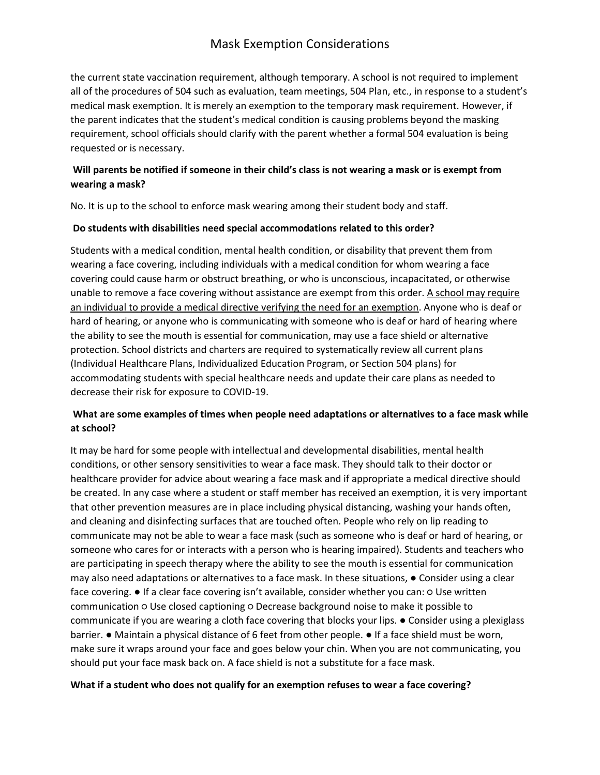# Mask Exemption Considerations

the current state vaccination requirement, although temporary. A school is not required to implement all of the procedures of 504 such as evaluation, team meetings, 504 Plan, etc., in response to a student's medical mask exemption. It is merely an exemption to the temporary mask requirement. However, if the parent indicates that the student's medical condition is causing problems beyond the masking requirement, school officials should clarify with the parent whether a formal 504 evaluation is being requested or is necessary.

## **Will parents be notified if someone in their child's class is not wearing a mask or is exempt from wearing a mask?**

No. It is up to the school to enforce mask wearing among their student body and staff.

### **Do students with disabilities need special accommodations related to this order?**

Students with a medical condition, mental health condition, or disability that prevent them from wearing a face covering, including individuals with a medical condition for whom wearing a face covering could cause harm or obstruct breathing, or who is unconscious, incapacitated, or otherwise unable to remove a face covering without assistance are exempt from this order. A school may require an individual to provide a medical directive verifying the need for an exemption. Anyone who is deaf or hard of hearing, or anyone who is communicating with someone who is deaf or hard of hearing where the ability to see the mouth is essential for communication, may use a face shield or alternative protection. School districts and charters are required to systematically review all current plans (Individual Healthcare Plans, Individualized Education Program, or Section 504 plans) for accommodating students with special healthcare needs and update their care plans as needed to decrease their risk for exposure to COVID-19.

## **What are some examples of times when people need adaptations or alternatives to a face mask while at school?**

It may be hard for some people with intellectual and developmental disabilities, mental health conditions, or other sensory sensitivities to wear a face mask. They should talk to their doctor or healthcare provider for advice about wearing a face mask and if appropriate a medical directive should be created. In any case where a student or staff member has received an exemption, it is very important that other prevention measures are in place including physical distancing, washing your hands often, and cleaning and disinfecting surfaces that are touched often. People who rely on lip reading to communicate may not be able to wear a face mask (such as someone who is deaf or hard of hearing, or someone who cares for or interacts with a person who is hearing impaired). Students and teachers who are participating in speech therapy where the ability to see the mouth is essential for communication may also need adaptations or alternatives to a face mask. In these situations, ● Consider using a clear face covering. ● If a clear face covering isn't available, consider whether you can: ○ Use written communication ○ Use closed captioning ○ Decrease background noise to make it possible to communicate if you are wearing a cloth face covering that blocks your lips. ● Consider using a plexiglass barrier. ● Maintain a physical distance of 6 feet from other people. ● If a face shield must be worn, make sure it wraps around your face and goes below your chin. When you are not communicating, you should put your face mask back on. A face shield is not a substitute for a face mask.

### **What if a student who does not qualify for an exemption refuses to wear a face covering?**